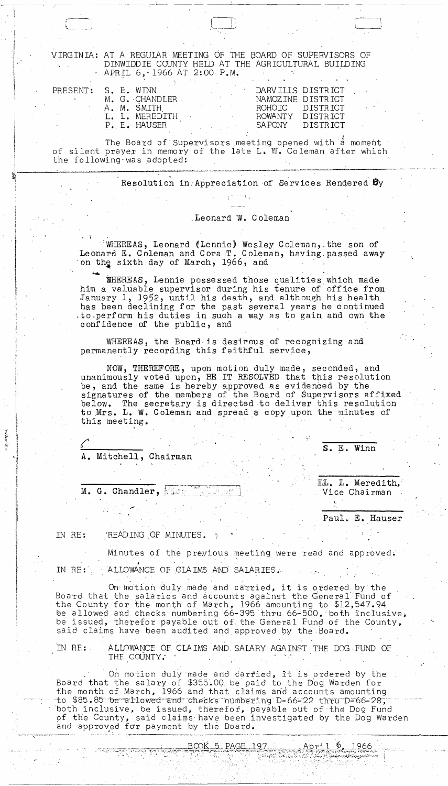VIRGINIA: AT A REGULAR MEETING OF THE BOARD OF SUPERVISORS OF DINWIDDIE COUNTY HELD AT THE AGRICULTURAL BUILDING APRIL 6, 1966 AT 2:00 P.M.

 $\sim$   $\sim$ 

| PRESENT: S. E. WINN |  | DARVILLS DISTRICT |
|---------------------|--|-------------------|
| M. G. CHANDLER      |  | NAMOZINE DISTRICT |
| A. M. SMITH         |  | ROHOTC DISTRICT   |
| L. L. MEREDITH      |  | ROWANTY DISTRICT  |
| P. E. HAUSER        |  | SAPONY DISTRICT   |

The Board of Supervisors meeting opened with a moment of silent prayer in memory of the late L. W. Coleman after which the following· was adopted:

Resolution in Appreciation of Services Rendered By

#### Leonard W. Coleman

 $\cdot$  \  $\lq$  WHEREAS, Leonard (Lennie) Wesley Coleman, the son of Leonard E. Coleman and Cora T. Coleman, having passed away on the sixth day of March, 1966, and

WHEREAS, Lennie possessed those qualities,which made him a valuable supervisor during his tenure of office from January 1, 1952, until his death, and although his health has been declining for the past several years he continued .to.perform his duties in such a way as to gain and own the' confidence of the public, and

WHEREAS, the Board is desirous of recognizing and permanently recording this faithful service,

NOW, THEREFORE, upon motion duly made, seconded, and unanimously voted upon, BE IT RESOLVED that this resolution be, and the same is hereby approved as evidenced by the signatures of the members of the Board of Supervisors affixed below. The secretary is directed to deliver this resolution to Mrs. L. W. Coleman and spread a copy upon the minutes of this meeting.

**A.** Mitchell, Chairman

Į

M. G. Chandler, Mac

lLL. **L ..** Meredith,: Vice Chairman

**s. E.** Winn

I.

April

بالمهاء فتراسمهم ويتوافق المتوجب

Nederlanden

Andream Latina<br>Mark (1933) (1964)

Paul~ **E.** Hauser

IN RE: 'READING OF MINUTES.

"', .

Minutes of the previous meeting were read and approved. IN RE: ALLOWANCE OF CLAIMS AND SALARIES.

On motion duly made and carried, it is ordered by the Board that the salaries and accounts against the General Fund of the County for the month of March, 1966 amounting to \$12,547.94 be allowed and checks numbering 66-395 thru 66-500, both inclusive, be issued, therefor payable out of the General Fund of the County, said claims have been audited and approved by the Board.

IN RE: ALLOWANCE OF CLAIMS AND SALARY AGAINST THE DOG FUND OF THE COUNTY.

. On motion duly made and darried, it is ordered by the Board that the salary of \$355.00 be paid to the Dog Warden for the month of March, 1966 and that claims arid accounts amounting to \$85.85 be allowed and checks numbering D-66-22 thru D-66-28; 'both inclusive, be issued, therefot, payable out of the Dog Fund of the County, said claims' have been investigated by the Dog Warden ~nd appro~ed far payment by th~ Board. -~-'~ .... ~ .. -~ .. - --~.-------- - -- .. \_------..>--

<u>book 5 page 197</u>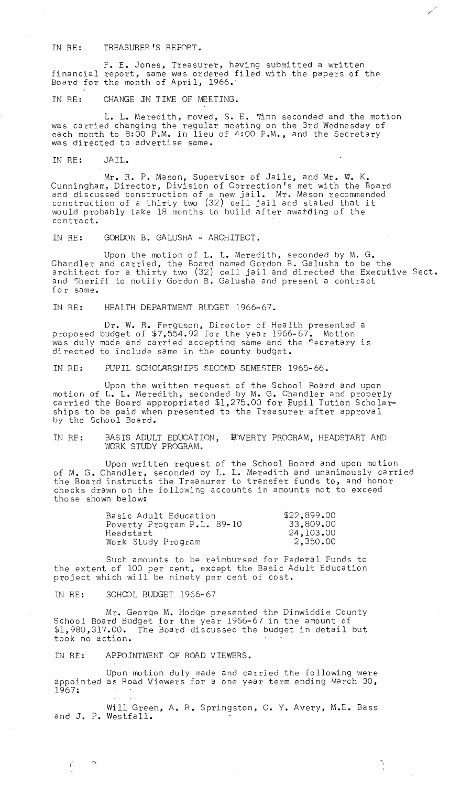#### IN RE: TREASURER'S REPORT.

F. E. Jones, Treasurer, having submitted a written financial report, same was ordered filed with the papers of the Board for the month of April, 1966.

IN RE: CHANGE IN TIME OF MEETING.

L. L. Meredith, moved, S. E. 7inn seconded and the motion was carried changing the regular meeting on the 3rd Wednesday of each month to 8:00 P.M. in lieu of 4:00 P.M., and the Secretary was directed to advertise same.

IN RE: JAIL.

Mr. R. P. Mason, Supervisor of Jails, and Mr. W. K. Cunningham, Director, Division of Correction's met with the Board and discussed construction of a new jail. Mr. Mason recommended construction of a thirty two (32) cell jail and stated that it would probably take 18 months to build after awarding of the contract.

IN RE: GORDON B. GALUSHA - ARCHITECT.

Upon the motion of L. L. Meredith, seconded by M. G. Chandler and carried, the Board named Gordon B. Galusha to be the architect for a thirty two (32) cell jail and directed the Executive Sect. and Sheriff to notify Gordon B. Galusha and present a contract for same.

IN RE: HEALTH DEPARTMENT BUDGET 1966- 67.

Dr. W. R. Ferguson, Director of Health presented a proposed budget of \$7,554.92 for the year 1966-67. Motion was duly made and carried accepting same and the *Secretary* is directed to include same in the county budget.

IN RE: PUPIL SCHOLARSHIPS SECOND SEMESTER 1965- 66.

Upon the written request of the School Board and upon motion of L. L. Meredith, seconded by M. G. Chandler and properly carried the Board appropriated  $$1,275.00$  for Pupil Tution Scholarships to be paid when presented to the Treasurer after approval by the School Board.

IN RE: BASIS ADULT EDUCATION, ROVERTY PROGRAM, HEADSTART AND WORK STUDY PROGRAM.

Upon written request of the School Board and upon motion of M. G. Chandler, seconded by L. L. Meredith and unanimously carried the Board instructs the Treasurer to transfer funds to, and honor checks drawn on the following accounts in amounts not to exceed those shown below:

| Basic Adult Education      | \$22,899.00 |
|----------------------------|-------------|
| Poverty Program P.L. 89-10 | 33,809.00   |
| Headstart                  | 24,103.00   |
| Work Study Program         | 2,350.00    |

Such amounts to be reimbursed for Federal Funds to the extent of 100 per cent, except the Basic Adult Education project which will be ninety per cent of cost.

IN RE: SCHOOL BUDGET 1966-67

£,

Mr. George M. Hodge presented the Dinwiddie County School Board Budget for the year 1966-67 in the amount of \$1,980,317.00. The Board discussed the budget in detail but took no action.

IN RE: APPOINTMENT OF ROAD VIEWERS.

Upon motion duly made and carried the following were appointed as Road Viewers for a one year term ending March 30, 1967:

Will Green, A. R. Springston, C. Y. Avery, M.E. Bass and J. P. Westfall.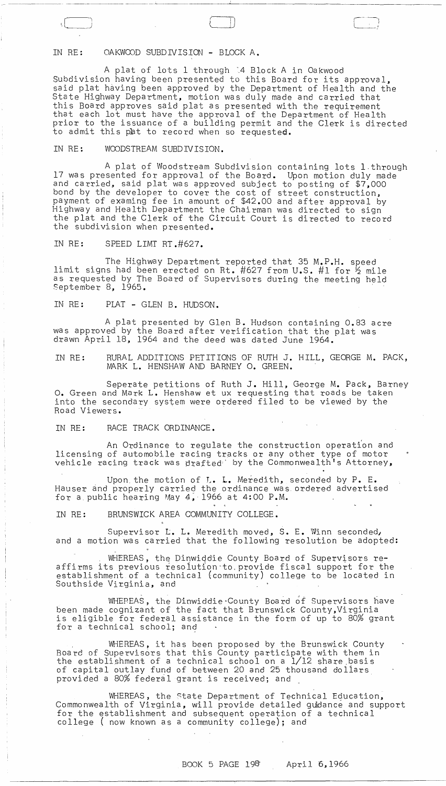IN RE: OAKWOOD SUBDIVISION - BLOCK A.

A plat of lots 1 through 14 Block A in Oakwood Subdivision having been presented to this Board for its approval, said plat having been approved by the Department of Health and the State Highway Department, motion was duly made and carried that this Board approves said plat as presented with the requirement that each lot must have the approval of the Department of Health prior to the issuance of a building permit and the Clerk is directed to admit this pat to record when so requested.

 $\begin{pmatrix} \begin{matrix} 1 \end{matrix} \end{pmatrix}$ 

IN RE: WCDDSTREAM SUBD IV IS ION.

A plat of Woodstream Subdivision containing lots l.through 17 was presented for approval of the Board. Upon motion duly made and carried, said plat was approved subject to posting of \$7,000 bond by the developer to cover the cost of street construction, payment of examing fee in amount of \$42.00 and after approval by Highway and Health Department the Chairman was directed to sign the plat and the Clerk of the Circuit Court is directed to record the subdivision when presented.

IN RE: SPEED LIMT RT .#627.

The Highway Department reported that 35 M.P.H. speed limit signs had been erected on Rt.  $#627$  from U.S.  $#1$  for  $\frac{1}{2}$  mile as requested by The Board of Supervisors during the meeting held September 8, 1965.

IN RE: PLAT - GLEN B. HUDSON.

A plat presented by Glen B.Hudson containing 0.83 acre was approved by the Board after verification that the plat was drawn April 18, 1964 and the deed was dated June 1964.

IN RE: RURAL ADDITIONS PETITIONS OF RUTH J. HILL, GEORGE M. PACK, MARK L. HENSHAW AND BARNEY O. GREEN.

Seperate petitions of Ruth J. Hill, George M. Pack, Barney O. Green and Mark L. Henshaw et ux requesting that roads be taken into the secondary system were ordered filed to be viewed by the Road Viewers.

IN RE: RACE TRACK ORDINANCE.

An Ordinance to regulate the construction operation and licensing of automobile racing tracks or any other type of motor vehicle racing track was drafted by the Commonwealth's Attorney,

Upon the motion of  $L_$ . L. Meredith, seconded by  $P_$ . E. Hauser and properly carried the ordinance was ordered advertised for a public hearing May  $4.1966$  at  $4:00$  P.M.

IN RE: BRUNSWICK AREA COMMUNITY COLLEGE.

Supervisor L. L. Meredith moved, S. E. Winn seconded, and a motion was carried that the following resolution be adopted:

WHEREAS, the Dinwiddie County Board of Supervisors reaffirms its previous resolution to provide fiscal support for the establishment of a technical (community) college to be located in Southside Virginia, and

WHEREAS, the Dinwiddie County Board of Supervisors have been made cognizant of the fact that Brunswick County,Virginia is eligible for federal assistance in the form of up to 80% grant for a technical school; and

WHEREAS, it has been proposed by the Brunswick County Board of Supervisors that this County participate with them in the establishment of a technical school on a 1/12 share ,basis of capital outlay fund of between 20 and 25 thousand dollars provided a 80% federal grant is received; and "

WHEREAS, the State Department of Technical Education, Commonwealth of Virginia, will provide detailed guidance and support for the establishment and subsequent operation of a technical college ( now known as a community college); and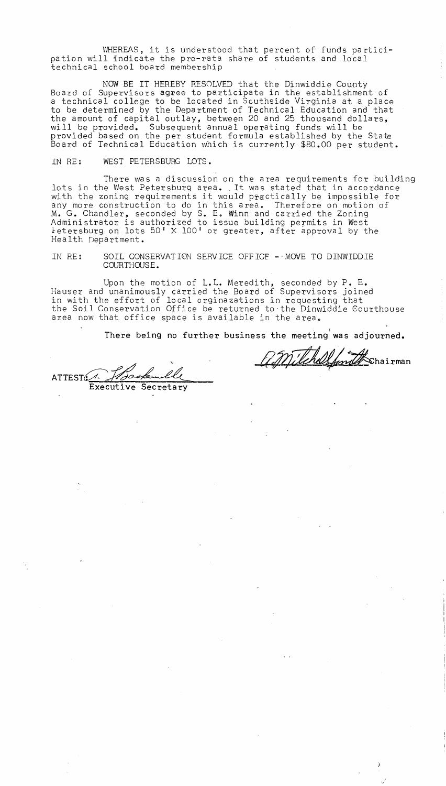WHEREAS, it is understood that percent of funds participation will indicate the pro-rata share of students and local technical school board membership

NOW BE IT HEREBY RESOLVED that the Dinwiddie County Board of Supervisors agree to participate in the establishment of a technical college to be located in Scuthside Virginia at a place to be determined by the Department of Technical Education and that the amount of capital outlay, between 20 and 25 thousand dollars, will be provided. Subsequent annual operating funds will be provided based on the per student formula established by the State Board of Technical Education which is currehtly \$80.00 per student.

IN RE: WEST PETERSBURG LOTS.

There was a discussion on the area requirements for building lots in the West Petersburg area. It was stated that in accordance with the zoning requirements it would Practically be impossible for any more construction to do in this area. Therefore on motion of M. G. Chandler, seconded by S. E. Winn and carried the Zoning Administrator is authorized to issue building permits in West letersburg on lots 50' X 100' or greater, after approval by the Health Department.

IN RE: SOIL CONSERVATION SERVICE OFFICE - MOVE TO DINWIDDIE COURTHOUSE.

Upon the motion of L.L. Meredith, seconded by P. E. Hauser and unanimously carried the Board of Supervisors joined in with the effort of local orginazations in requesting that the Soil Conservation Office be returned to·the Dinwiddie Gourthouse area now that office space is available in the area.

There being no further business the meeting was adjourned.

 ${\tt Chairman}$ 

ATTEST<sub>2</sub> 100 Secretary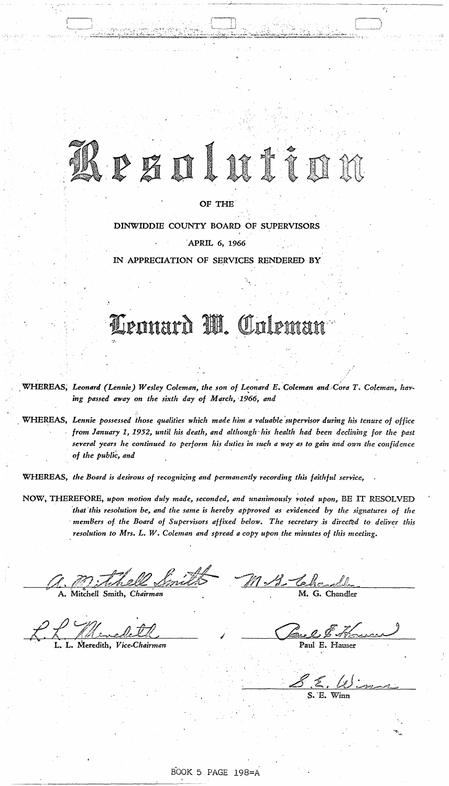# $\lambda$   $z$  and  $u$  and  $v$

#### OF THE'

### DINWIDDIE COUNTY BOARD OF SUPERVISORS 'APRIL 6, 1966

IN APPRECIATION OF SERVICES RENDERED BY

## Lemard M. Coleman

WHEREAS, Leonard (Lennie) Wesley Coleman, the son of Leonard *E. Coleman and Cora T. Coleman, hav*ing passed away on the sixth day of March, 1966, and

WHEREAS, Lennie possessed those qualities which made him a valuable supervisor during his tenure of office *from January* 1, 1952, *until his death, and although' his health had been declining for the past*  several years he continued to perform his duties in such a way as to gain and own the confidence  $of$  the public, and

WHEREAS, the Board is desirous of recognizing and permanently recording this faithful service,

NOW, THEREFORE, upon motion duly made, seconded, and unanimously voted upon, BE IT RESOLVED that this resolution be, and the same is hereby approved as evidenced by the signatures of the members of the Board of Supervisors affixed below. The secretary is directed to deliver this *resolution to Mrs. L. W. Coleman and spread a copy upon the minutes of this meeting.* 

/

A. Mitchell Smith, Chairman

Meredith, Vice-Chairman

M S. Chand M. G. Chandler

;,'

 $\ddot{\cdot}$  .

Paul E. Hauser

S. 'E. Winn